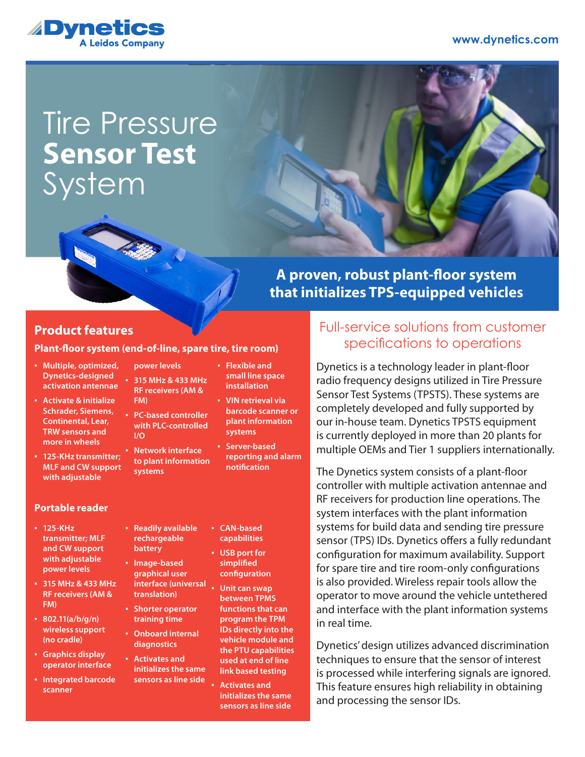

# Tire Pressure **System Sensor Test**



# **A proven, robust plant-floor system that initializes TPS-equipped vehicles**

### **Product features**

#### **Plant-floor system (end-of-line, spare tire, tire room)**

| · Multiple, optimized,<br><b>Dynetics-designed</b><br>activation antennae                                   | power levels<br>$-315$ MHz & 433 MHz<br><b>RF receivers (AM &amp;</b> |    | • Flexib<br>small<br>install       |
|-------------------------------------------------------------------------------------------------------------|-----------------------------------------------------------------------|----|------------------------------------|
| • Activate & initialize<br><b>Schrader, Siemens,</b><br><b>Continental, Lear,</b><br><b>TRW sensors and</b> | FM)<br>• PC-based controller<br>with PLC-controlled<br>1/O            | a. | VIN re<br>barco<br>plant<br>syster |
| more in wheels<br>• 125-KHz transmitter;<br><b>MLF and CW support</b>                                       | • Network interface<br>to plant information<br>cyctame                |    | Server<br>report<br>notifio        |

#### **Portable reader**

**with adjustable** 

- **125-KHz transmitter; MLF and CW support with adjustable power levels**
- **315 MHz & 433 MHz RF receivers (AM & FM)**
- **802.11(a/b/g/n) wireless support (no cradle)**
- **Graphics display operator interface**
- **Integrated barcode scanner**

**systems**

**rechargeable battery** ▪ **Image-based graphical user interface (universal translation)** ▪ **Shorter operator training time** ▪ **Onboard internal diagnostics** ▪ **Activates and initializes the same sensors as line side**

- **Readily available**  ▪ **CAN-based** 
	- **capabilities** ▪ **USB port for**
	- **simplified configuration**
	- **Unit can swap between TPMS functions that can program the TPM IDs directly into the vehicle module and the PTU capabilities used at end of line link based testing**

le and line space **installation** trieval via **barcode scanner or plant information** 

**systems based reporting and alarm nation** 

**Activates and initializes the same sensors as line side**

## Full-service solutions from customer specifications to operations

Dynetics is a technology leader in plant-floor radio frequency designs utilized in Tire Pressure Sensor Test Systems (TPSTS). These systems are completely developed and fully supported by our in-house team. Dynetics TPSTS equipment is currently deployed in more than 20 plants for multiple OEMs and Tier 1 suppliers internationally.

The Dynetics system consists of a plant-floor controller with multiple activation antennae and RF receivers for production line operations. The system interfaces with the plant information systems for build data and sending tire pressure sensor (TPS) IDs. Dynetics offers a fully redundant configuration for maximum availability. Support for spare tire and tire room-only configurations is also provided. Wireless repair tools allow the operator to move around the vehicle untethered and interface with the plant information systems in real time.

Dynetics' design utilizes advanced discrimination techniques to ensure that the sensor of interest is processed while interfering signals are ignored. This feature ensures high reliability in obtaining and processing the sensor IDs.